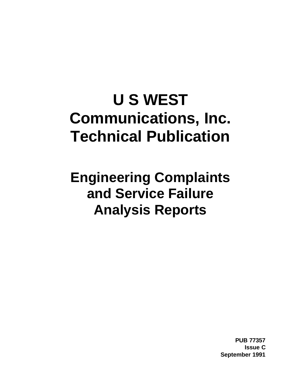# **U S WEST Communications, Inc. Technical Publication**

**Engineering Complaints and Service Failure Analysis Reports**

> **PUB 77357 Issue C September 1991**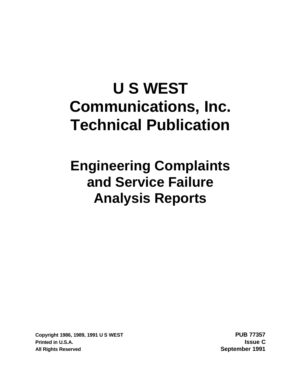# **U S WEST Communications, Inc. Technical Publication**

# **Engineering Complaints and Service Failure Analysis Reports**

**Copyright 1986, 1989, 1991 U S WEST PUB 77357 Printed in U.S.A. Issue C All Rights Reserved September 1991**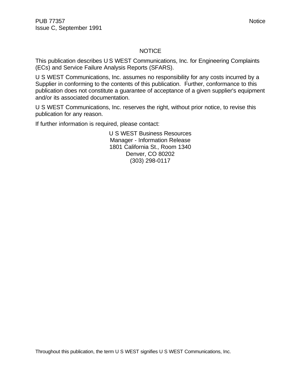#### NOTICE

This publication describes U S WEST Communications, Inc. for Engineering Complaints (ECs) and Service Failure Analysis Reports (SFARS).

U S WEST Communications, Inc. assumes no responsibility for any costs incurred by a Supplier in conforming to the contents of this publication. Further, conformance to this publication does not constitute a guarantee of acceptance of a given supplier's equipment and/or its associated documentation.

U S WEST Communications, Inc. reserves the right, without prior notice, to revise this publication for any reason.

If further information is required, please contact:

U S WEST Business Resources Manager - Information Release 1801 California St., Room 1340 Denver, CO 80202 (303) 298-0117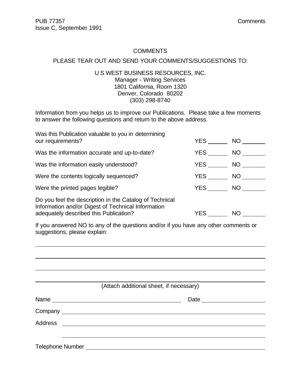#### **COMMENTS**

#### PLEASE TEAR OUT AND SEND YOUR COMMENTS/SUGGESTIONS TO:

#### U S WEST BUSINESS RESOURCES, INC. Manager - Writing Services 1801 California, Room 1320 Denver, Colorado 80202 (303) 298-8740

Information from you helps us to improve our Publications. Please take a few moments to answer the following questions and return to the above address.

| Was this Publication valuable to you in determining<br>our requirements?                                                                                | YES        | NO        |
|---------------------------------------------------------------------------------------------------------------------------------------------------------|------------|-----------|
| Was the information accurate and up-to-date?                                                                                                            | YES        | NO        |
| Was the information easily understood?                                                                                                                  | YES        | NO        |
| Were the contents logically sequenced?                                                                                                                  | <b>YES</b> | NO.       |
| Were the printed pages legible?                                                                                                                         | YES        | NO        |
| Do you feel the description in the Catalog of Technical<br>Information and/or Digest of Technical Information<br>adequately described this Publication? | YES.       | <b>NO</b> |

If you answered NO to any of the questions and/or if you have any other comments or suggestions, please explain:

| (Attach additional sheet, if necessary) |  |
|-----------------------------------------|--|
|                                         |  |
|                                         |  |
|                                         |  |
|                                         |  |
|                                         |  |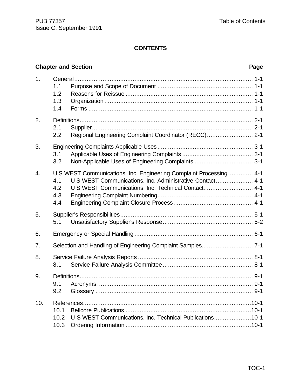# **CONTENTS**

# **Chapter and Section Page**

| 1.               | 1.1<br>1.2<br>1.3<br>1.4 |                                                                                                                                                                                       |
|------------------|--------------------------|---------------------------------------------------------------------------------------------------------------------------------------------------------------------------------------|
| 2.               | 2.1<br>2.2               | Regional Engineering Complaint Coordinator (RECC) 2-1                                                                                                                                 |
| 3.               | 3.1<br>3.2               | Non-Applicable Uses of Engineering Complaints  3-1                                                                                                                                    |
| $\overline{4}$ . | 4.1<br>4.2<br>4.3<br>4.4 | U S WEST Communications, Inc. Engineering Complaint Processing 4-1<br>U S WEST Communications, Inc. Administrative Contact 4-1<br>U S WEST Communications, Inc. Technical Contact 4-1 |
| 5.               | 5.1                      |                                                                                                                                                                                       |
| 6.               |                          |                                                                                                                                                                                       |
| 7.               |                          |                                                                                                                                                                                       |
| 8.               | 8.1                      |                                                                                                                                                                                       |
| 9.               | 9.1<br>9.2               |                                                                                                                                                                                       |
| 10.              | 10.1<br>10.2<br>10.3     | U S WEST Communications, Inc. Technical Publications10-1                                                                                                                              |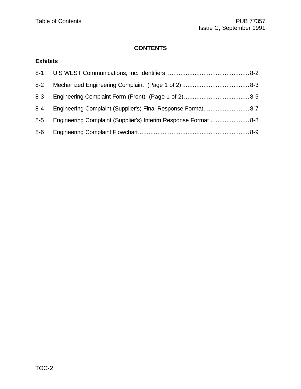# **CONTENTS**

# **Exhibits**

| $8 - 2$ |                                                                |  |
|---------|----------------------------------------------------------------|--|
| 8-3     |                                                                |  |
| 8-4     |                                                                |  |
| $8-5$   | Engineering Complaint (Supplier's) Interim Response Format 8-8 |  |
| $8-6$   |                                                                |  |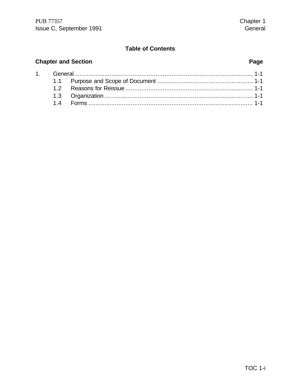#### **Chapter and Section**  $1.$  $1.1$  $1.2$  $12$  $\mathbf{r}$  $\sim$

| 1.4 | <b>Forms</b> |  |
|-----|--------------|--|

#### Page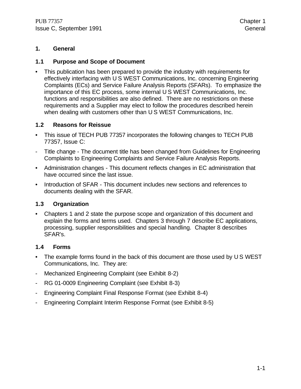#### **1. General**

#### **1.1 Purpose and Scope of Document**

• This publication has been prepared to provide the industry with requirements for effectively interfacing with U S WEST Communications, Inc. concerning Engineering Complaints (ECs) and Service Failure Analysis Reports (SFARs). To emphasize the importance of this EC process, some internal U S WEST Communications, Inc. functions and responsibilities are also defined. There are no restrictions on these requirements and a Supplier may elect to follow the procedures described herein when dealing with customers other than U S WEST Communications, Inc.

#### **1.2 Reasons for Reissue**

- This issue of TECH PUB 77357 incorporates the following changes to TECH PUB 77357, Issue C:
- Title change The document title has been changed from Guidelines for Engineering Complaints to Engineering Complaints and Service Failure Analysis Reports.
- Administration changes This document reflects changes in EC administration that have occurred since the last issue.
- Introduction of SFAR This document includes new sections and references to documents dealing with the SFAR.

#### **1.3 Organization**

• Chapters 1 and 2 state the purpose scope and organization of this document and explain the forms and terms used. Chapters 3 through 7 describe EC applications, processing, supplier responsibilities and special handling. Chapter 8 describes SFAR's.

#### **1.4 Forms**

- The example forms found in the back of this document are those used by U S WEST Communications, Inc. They are:
- Mechanized Engineering Complaint (see Exhibit 8-2)
- RG 01-0009 Engineering Complaint (see Exhibit 8-3)
- Engineering Complaint Final Response Format (see Exhibit 8-4)
- Engineering Complaint Interim Response Format (see Exhibit 8-5)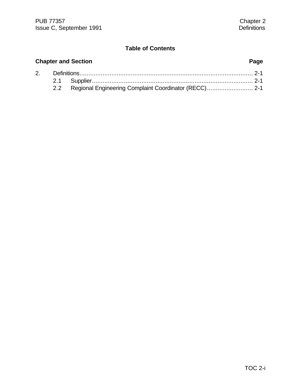# **Chapter and Section Page** 2. Definitions.................................................................................................. 2-1

| 2.2 Regional Engineering Complaint Coordinator (RECC) 2-1 |  |
|-----------------------------------------------------------|--|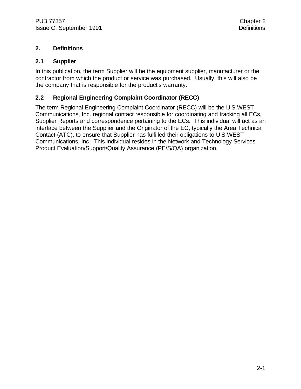#### **2. Definitions**

#### **2.1 Supplier**

In this publication, the term Supplier will be the equipment supplier, manufacturer or the contractor from which the product or service was purchased. Usually, this will also be the company that is responsible for the product's warranty.

#### **2.2 Regional Engineering Complaint Coordinator (RECC)**

The term Regional Engineering Complaint Coordinator (RECC) will be the U S WEST Communications, Inc. regional contact responsible for coordinating and tracking all ECs, Supplier Reports and correspondence pertaining to the ECs. This individual will act as an interface between the Supplier and the Originator of the EC, typically the Area Technical Contact (ATC), to ensure that Supplier has fulfilled their obligations to U S WEST Communications, Inc. This individual resides in the Network and Technology Services Product Evaluation/Support/Quality Assurance (PE/S/QA) organization.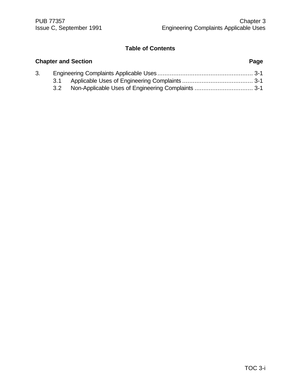|    |     | <b>Chapter and Section</b> | Page |
|----|-----|----------------------------|------|
| 3. |     |                            |      |
|    | 3.1 |                            |      |
|    | 3.2 |                            |      |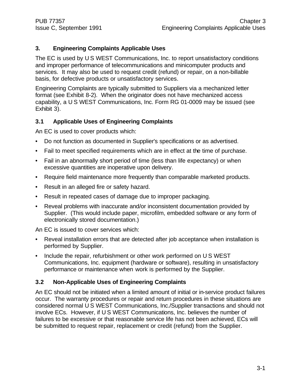### **3. Engineering Complaints Applicable Uses**

The EC is used by U S WEST Communications, Inc. to report unsatisfactory conditions and improper performance of telecommunications and minicomputer products and services. It may also be used to request credit (refund) or repair, on a non-billable basis, for defective products or unsatisfactory services.

Engineering Complaints are typically submitted to Suppliers via a mechanized letter format (see Exhibit 8-2). When the originator does not have mechanized access capability, a U S WEST Communications, Inc. Form RG 01-0009 may be issued (see Exhibit 3).

### **3.1 Applicable Uses of Engineering Complaints**

An EC is used to cover products which:

- Do not function as documented in Supplier's specifications or as advertised.
- Fail to meet specified requirements which are in effect at the time of purchase.
- Fail in an abnormally short period of time (less than life expectancy) or when excessive quantities are inoperative upon delivery.
- Require field maintenance more frequently than comparable marketed products.
- Result in an alleged fire or safety hazard.
- Result in repeated cases of damage due to improper packaging.
- Reveal problems with inaccurate and/or inconsistent documentation provided by Supplier. (This would include paper, microfilm, embedded software or any form of electronically stored documentation.)

An EC is issued to cover services which:

- Reveal installation errors that are detected after job acceptance when installation is performed by Supplier.
- Include the repair, refurbishment or other work performed on U S WEST Communications, Inc. equipment (hardware or software), resulting in unsatisfactory performance or maintenance when work is performed by the Supplier.

### **3.2 Non-Applicable Uses of Engineering Complaints**

An EC should not be initiated when a limited amount of initial or in-service product failures occur. The warranty procedures or repair and return procedures in these situations are considered normal U S WEST Communications, Inc./Supplier transactions and should not involve ECs. However, if U S WEST Communications, Inc. believes the number of failures to be excessive or that reasonable service life has not been achieved, ECs will be submitted to request repair, replacement or credit (refund) from the Supplier.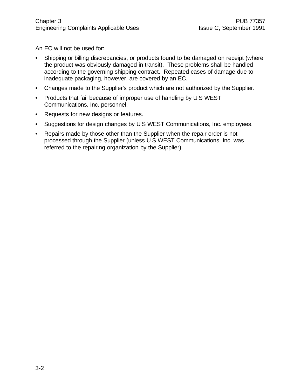An EC will not be used for:

- Shipping or billing discrepancies, or products found to be damaged on receipt (where the product was obviously damaged in transit). These problems shall be handled according to the governing shipping contract. Repeated cases of damage due to inadequate packaging, however, are covered by an EC.
- Changes made to the Supplier's product which are not authorized by the Supplier.
- Products that fail because of improper use of handling by U S WEST Communications, Inc. personnel.
- Requests for new designs or features.
- Suggestions for design changes by U S WEST Communications, Inc. employees.
- Repairs made by those other than the Supplier when the repair order is not processed through the Supplier (unless U S WEST Communications, Inc. was referred to the repairing organization by the Supplier).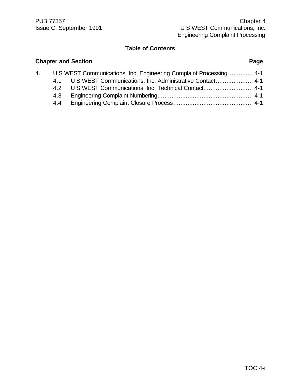**Chapter and Section Page** 

|     | 4. U S WEST Communications, Inc. Engineering Complaint Processing 4-1 |
|-----|-----------------------------------------------------------------------|
|     | 4.1 U S WEST Communications, Inc. Administrative Contact 4-1          |
|     | 4.2 U S WEST Communications, Inc. Technical Contact 4-1               |
| 4.3 |                                                                       |
| 4.4 |                                                                       |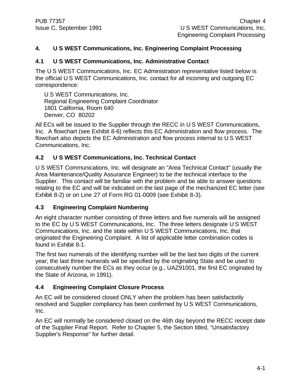### **4. U S WEST Communications, Inc. Engineering Complaint Processing**

### **4.1 U S WEST Communications, Inc. Administrative Contact**

The U S WEST Communications, Inc. EC Administration representative listed below is the official U S WEST Communications, Inc. contact for all incoming and outgoing EC correspondence:

U S WEST Communications, Inc. Regional Engineering Complaint Coordinator 1801 California, Room 640 Denver, CO 80202

All ECs will be issued to the Supplier through the RECC in U S WEST Communications, Inc. A flowchart (see Exhibit 8-6) reflects this EC Administration and flow process. The flowchart also depicts the EC Administration and flow process internal to U S WEST Communications, Inc.

#### **4.2 U S WEST Communications, Inc. Technical Contact**

U S WEST Communications, Inc. will designate an "Area Technical Contact" (usually the Area Maintenance/Quality Assurance Engineer) to be the technical interface to the Supplier. This contact will be familiar with the problem and be able to answer questions relating to the EC and will be indicated on the last page of the mechanized EC letter (see Exhibit 8-2) or on Line 27 of Form RG 01-0009 (see Exhibit 8-3).

#### **4.3 Engineering Complaint Numbering**

An eight character number consisting of three letters and five numerals will be assigned to the EC by U S WEST Communications, Inc. The three letters designate U S WEST Communications, Inc. and the state within U S WEST Communications, Inc. that originated the Engineering Complaint. A list of applicable letter combination codes is found in Exhibit 8-1.

The first two numerals of the identifying number will be the last two digits of the current year; the last three numerals will be specified by the originating State and be used to consecutively number the ECs as they occur (e.g., UAZ91001, the first EC originated by the State of Arizona, in 1991).

### **4.4 Engineering Complaint Closure Process**

An EC will be considered closed ONLY when the problem has been satisfactorily resolved and Supplier compliancy has been confirmed by U S WEST Communications, Inc.

An EC will normally be considered closed on the 46th day beyond the RECC receipt date of the Supplier Final Report. Refer to Chapter 5, the Section titled, "Unsatisfactory Supplier's Response" for further detail.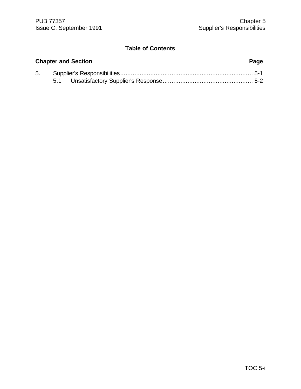| <b>Chapter and Section</b> |  |  | Page |
|----------------------------|--|--|------|
|                            |  |  |      |
|                            |  |  |      |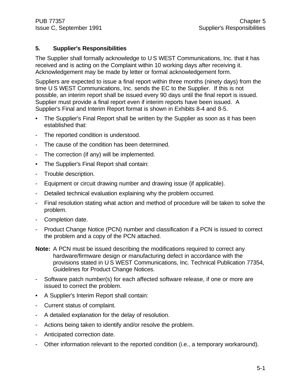### **5. Supplier's Responsibilities**

The Supplier shall formally acknowledge to U S WEST Communications, Inc. that it has received and is acting on the Complaint within 10 working days after receiving it. Acknowledgement may be made by letter or formal acknowledgement form.

Suppliers are expected to issue a final report within three months (ninety days) from the time U S WEST Communications, Inc. sends the EC to the Supplier. If this is not possible, an interim report shall be issued every 90 days until the final report is issued. Supplier must provide a final report even if interim reports have been issued. A Supplier's Final and Interim Report format is shown in Exhibits 8-4 and 8-5.

- The Supplier's Final Report shall be written by the Supplier as soon as it has been established that:
- The reported condition is understood.
- The cause of the condition has been determined.
- The correction (if any) will be implemented.
- The Supplier's Final Report shall contain:
- Trouble description.
- Equipment or circuit drawing number and drawing issue (if applicable).
- Detailed technical evaluation explaining why the problem occurred.
- Final resolution stating what action and method of procedure will be taken to solve the problem.
- Completion date.
- Product Change Notice (PCN) number and classification if a PCN is issued to correct the problem and a copy of the PCN attached.
- **Note:** A PCN must be issued describing the modifications required to correct any hardware/firmware design or manufacturing defect in accordance with the provisions stated in U S WEST Communications, Inc. Technical Publication 77354, Guidelines for Product Change Notices.
- Software patch number(s) for each affected software release, if one or more are issued to correct the problem.
- A Supplier's Interim Report shall contain:
- Current status of complaint.
- A detailed explanation for the delay of resolution.
- Actions being taken to identify and/or resolve the problem.
- Anticipated correction date.
- Other information relevant to the reported condition (i.e., a temporary workaround).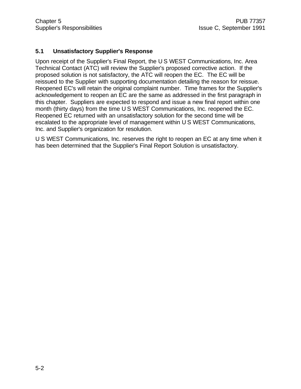#### **5.1 Unsatisfactory Supplier's Response**

Upon receipt of the Supplier's Final Report, the U S WEST Communications, Inc. Area Technical Contact (ATC) will review the Supplier's proposed corrective action. If the proposed solution is not satisfactory, the ATC will reopen the EC. The EC will be reissued to the Supplier with supporting documentation detailing the reason for reissue. Reopened EC's will retain the original complaint number. Time frames for the Supplier's acknowledgement to reopen an EC are the same as addressed in the first paragraph in this chapter. Suppliers are expected to respond and issue a new final report within one month (thirty days) from the time U S WEST Communications, Inc. reopened the EC. Reopened EC returned with an unsatisfactory solution for the second time will be escalated to the appropriate level of management within U S WEST Communications, Inc. and Supplier's organization for resolution.

U S WEST Communications, Inc. reserves the right to reopen an EC at any time when it has been determined that the Supplier's Final Report Solution is unsatisfactory.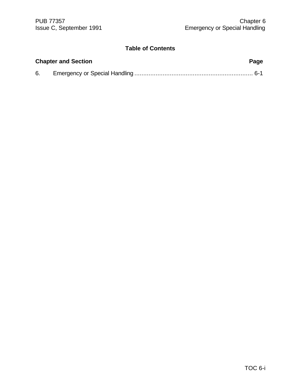| <b>Chapter and Section</b> |  | Page |
|----------------------------|--|------|
| 6.                         |  |      |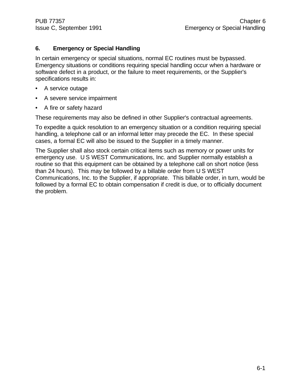#### **6. Emergency or Special Handling**

In certain emergency or special situations, normal EC routines must be bypassed. Emergency situations or conditions requiring special handling occur when a hardware or software defect in a product, or the failure to meet requirements, or the Supplier's specifications results in:

- A service outage
- A severe service impairment
- A fire or safety hazard

These requirements may also be defined in other Supplier's contractual agreements.

To expedite a quick resolution to an emergency situation or a condition requiring special handling, a telephone call or an informal letter may precede the EC. In these special cases, a formal EC will also be issued to the Supplier in a timely manner.

The Supplier shall also stock certain critical items such as memory or power units for emergency use. U S WEST Communications, Inc. and Supplier normally establish a routine so that this equipment can be obtained by a telephone call on short notice (less than 24 hours). This may be followed by a billable order from U S WEST Communications, Inc. to the Supplier, if appropriate. This billable order, in turn, would be followed by a formal EC to obtain compensation if credit is due, or to officially document the problem.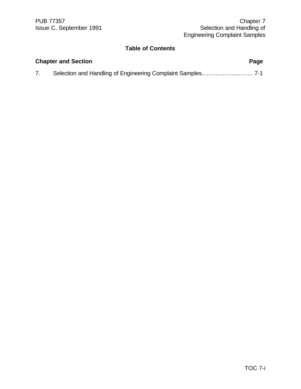| <b>Chapter and Section</b> |  | Page |
|----------------------------|--|------|
|                            |  |      |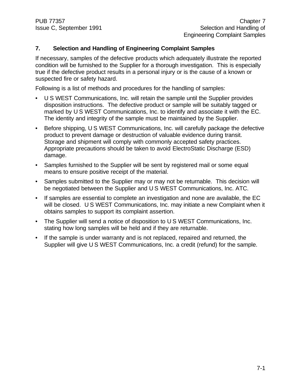### **7. Selection and Handling of Engineering Complaint Samples**

If necessary, samples of the defective products which adequately illustrate the reported condition will be furnished to the Supplier for a thorough investigation. This is especially true if the defective product results in a personal injury or is the cause of a known or suspected fire or safety hazard.

Following is a list of methods and procedures for the handling of samples:

- U S WEST Communications, Inc. will retain the sample until the Supplier provides disposition instructions. The defective product or sample will be suitably tagged or marked by U S WEST Communications, Inc. to identify and associate it with the EC. The identity and integrity of the sample must be maintained by the Supplier.
- Before shipping, U S WEST Communications, Inc. will carefully package the defective product to prevent damage or destruction of valuable evidence during transit. Storage and shipment will comply with commonly accepted safety practices. Appropriate precautions should be taken to avoid ElectroStatic Discharge (ESD) damage.
- Samples furnished to the Supplier will be sent by registered mail or some equal means to ensure positive receipt of the material.
- Samples submitted to the Supplier may or may not be returnable. This decision will be negotiated between the Supplier and U S WEST Communications, Inc. ATC.
- If samples are essential to complete an investigation and none are available, the EC will be closed. U S WEST Communications, Inc. may initiate a new Complaint when it obtains samples to support its complaint assertion.
- The Supplier will send a notice of disposition to U S WEST Communications, Inc. stating how long samples will be held and if they are returnable.
- If the sample is under warranty and is not replaced, repaired and returned, the Supplier will give U S WEST Communications, Inc. a credit (refund) for the sample.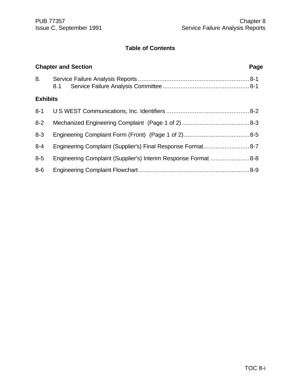|                 | <b>Chapter and Section</b>                                      | Page |
|-----------------|-----------------------------------------------------------------|------|
| 8.              |                                                                 |      |
| <b>Exhibits</b> |                                                                 |      |
|                 |                                                                 |      |
| $8-2$           |                                                                 |      |
| $8 - 3$         |                                                                 |      |
| $8 - 4$         | Engineering Complaint (Supplier's) Final Response Format8-7     |      |
| $8-5$           | Engineering Complaint (Supplier's) Interim Response Format  8-8 |      |
| 8-6             |                                                                 |      |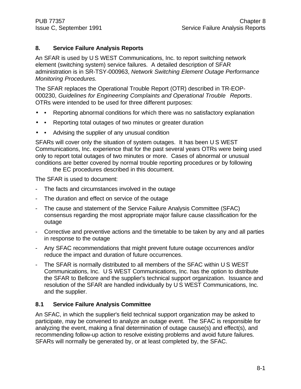#### **8. Service Failure Analysis Reports**

An SFAR is used by U S WEST Communications, Inc. to report switching network element (switching system) service failures. A detailed description of SFAR administration is in SR-TSY-000963, *Network Switching Element Outage Performance Monitoring Procedures.*

The SFAR replaces the Operational Trouble Report (OTR) described in TR-EOP-000230, *Guidelines for Engineering Complaints and Operational Trouble Reports*. OTRs were intended to be used for three different purposes:

- • Reporting abnormal conditions for which there was no satisfactory explanation
- • Reporting total outages of two minutes or greater duration
- • Advising the supplier of any unusual condition

SFARs will cover only the situation of system outages. It has been U S WEST Communications, Inc. experience that for the past several years OTRs were being used only to report total outages of two minutes or more. Cases of abnormal or unusual conditions are better covered by normal trouble reporting procedures or by following

the EC procedures described in this document.

The SFAR is used to document:

- The facts and circumstances involved in the outage
- The duration and effect on service of the outage
- The cause and statement of the Service Failure Analysis Committee (SFAC) consensus regarding the most appropriate major failure cause classification for the outage
- Corrective and preventive actions and the timetable to be taken by any and all parties in response to the outage
- Any SFAC recommendations that might prevent future outage occurrences and/or reduce the impact and duration of future occurrences.
- The SFAR is normally distributed to all members of the SFAC within U S WEST Communications, Inc. U S WEST Communications, Inc. has the option to distribute the SFAR to Bellcore and the supplier's technical support organization. Issuance and resolution of the SFAR are handled individually by U S WEST Communications, Inc. and the supplier.

#### **8.1 Service Failure Analysis Committee**

An SFAC, in which the supplier's field technical support organization may be asked to participate, may be convened to analyze an outage event. The SFAC is responsible for analyzing the event, making a final determination of outage cause(s) and effect(s), and recommending follow-up action to resolve existing problems and avoid future failures. SFARs will normally be generated by, or at least completed by, the SFAC.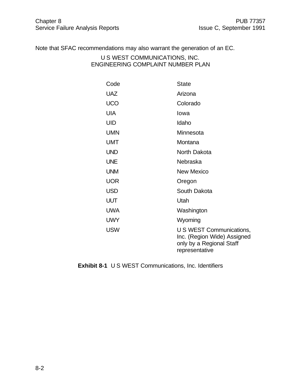Note that SFAC recommendations may also warrant the generation of an EC.

U S WEST COMMUNICATIONS, INC. ENGINEERING COMPLAINT NUMBER PLAN

| Code       | <b>State</b>                                                                                          |
|------------|-------------------------------------------------------------------------------------------------------|
| <b>UAZ</b> | Arizona                                                                                               |
| <b>UCO</b> | Colorado                                                                                              |
| UIA        | Iowa                                                                                                  |
| UID        | Idaho                                                                                                 |
| <b>UMN</b> | Minnesota                                                                                             |
| <b>UMT</b> | Montana                                                                                               |
| <b>UND</b> | North Dakota                                                                                          |
| <b>UNE</b> | Nebraska                                                                                              |
| <b>UNM</b> | New Mexico                                                                                            |
| <b>UOR</b> | Oregon                                                                                                |
| <b>USD</b> | South Dakota                                                                                          |
| UUT        | Utah                                                                                                  |
| <b>UWA</b> | Washington                                                                                            |
| <b>UWY</b> | Wyoming                                                                                               |
| <b>USW</b> | U S WEST Communications,<br>Inc. (Region Wide) Assigned<br>only by a Regional Staff<br>representative |

**Exhibit 8-1** U S WEST Communications, Inc. Identifiers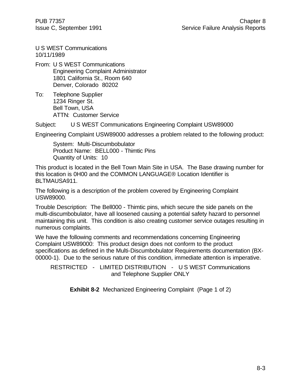U S WEST Communications 10/11/1989

From: U S WEST Communications Engineering Complaint Administrator 1801 California St., Room 640 Denver, Colorado 80202

To: Telephone Supplier 1234 Ringer St. Bell Town, USA ATTN: Customer Service

Subject: U S WEST Communications Engineering Complaint USW89000

Engineering Complaint USW89000 addresses a problem related to the following product:

System: Multi-Discumbobulator Product Name: BELL000 - Thimtic Pins Quantity of Units: 10

This product is located in the Bell Town Main Site in USA. The Base drawing number for this location is 0H00 and the COMMON LANGUAGE® Location Identifier is BLTMAUSA911.

The following is a description of the problem covered by Engineering Complaint USW89000.

Trouble Description: The Bell000 - Thimtic pins, which secure the side panels on the multi-discumbobulator, have all loosened causing a potential safety hazard to personnel maintaining this unit. This condition is also creating customer service outages resulting in numerous complaints.

We have the following comments and recommendations concerning Engineering Complaint USW89000: This product design does not conform to the product specifications as defined in the Multi-Discumbobulator Requirements documentation (BX-00000-1). Due to the serious nature of this condition, immediate attention is imperative.

RESTRICTED - LIMITED DISTRIBUTION - U S WEST Communications and Telephone Supplier ONLY

**Exhibit 8-2** Mechanized Engineering Complaint (Page 1 of 2)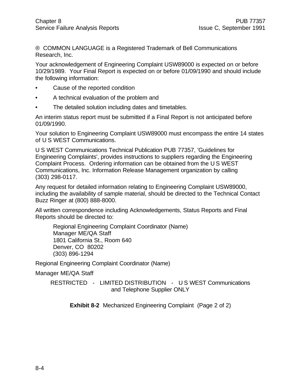® COMMON LANGUAGE is a Registered Trademark of Bell Communications Research, Inc.

Your acknowledgement of Engineering Complaint USW89000 is expected on or before 10/29/1989. Your Final Report is expected on or before 01/09/1990 and should include the following information:

- Cause of the reported condition
- A technical evaluation of the problem and
- The detailed solution including dates and timetables.

An interim status report must be submitted if a Final Report is not anticipated before 01/09/1990.

Your solution to Engineering Complaint USW89000 must encompass the entire 14 states of U S WEST Communications.

U S WEST Communications Technical Publication PUB 77357, 'Guidelines for Engineering Complaints', provides instructions to suppliers regarding the Engineering Complaint Process. Ordering information can be obtained from the U S WEST Communications, Inc. Information Release Management organization by calling (303) 298-0117.

Any request for detailed information relating to Engineering Complaint USW89000, including the availability of sample material, should be directed to the Technical Contact Buzz Ringer at (800) 888-8000.

All written correspondence including Acknowledgements, Status Reports and Final Reports should be directed to:

Regional Engineering Complaint Coordinator (Name) Manager ME/QA Staff 1801 California St., Room 640 Denver, CO 80202 (303) 896-1294

Regional Engineering Complaint Coordinator (Name)

Manager ME/QA Staff

RESTRICTED - LIMITED DISTRIBUTION - U S WEST Communications and Telephone Supplier ONLY

**Exhibit 8-2** Mechanized Engineering Complaint (Page 2 of 2)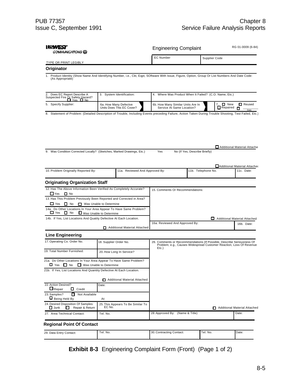| MMUNICATIONS (Q)                                                                                                                                                      |                                                                                                                                                                                     | <b>Engineering Complaint</b>                       |                                                        | RG 01-0009 (6-84)                                                                                 |                    |                              |
|-----------------------------------------------------------------------------------------------------------------------------------------------------------------------|-------------------------------------------------------------------------------------------------------------------------------------------------------------------------------------|----------------------------------------------------|--------------------------------------------------------|---------------------------------------------------------------------------------------------------|--------------------|------------------------------|
|                                                                                                                                                                       |                                                                                                                                                                                     | <b>EC Number</b><br>Supplier Code                  |                                                        |                                                                                                   |                    |                              |
| <b>TYPE OR PRINT LEGIBLY</b>                                                                                                                                          |                                                                                                                                                                                     |                                                    |                                                        |                                                                                                   |                    |                              |
| Originator                                                                                                                                                            |                                                                                                                                                                                     |                                                    |                                                        |                                                                                                   |                    |                              |
| 1. Product Identity (Show Name And Identifying Number, i.e., Ckt, Eqpt, SOftware With Issue, Figure, Option, Group Or List Numbers And Date Code:<br>(As Appropriate) |                                                                                                                                                                                     |                                                    |                                                        |                                                                                                   |                    |                              |
| Does EC Report Describe A<br>Suspected Fire Or Safety Hazard?<br>No                                                                                                   | 3. System Identification:                                                                                                                                                           |                                                    | 4. Where Was Product When It Failed? (C.O. Name, Etc.) |                                                                                                   |                    |                              |
| 5. Specify Supplier:                                                                                                                                                  |                                                                                                                                                                                     | 6a. How Many Defectve<br>Units Does This EC Cover? |                                                        | <b>D</b> New<br>6b. How Many Similar Units Are In<br>Service At Same Location?<br>$\Box$ Repaired |                    | <b>O</b> Reused<br>O<br>Date |
|                                                                                                                                                                       |                                                                                                                                                                                     |                                                    |                                                        |                                                                                                   |                    |                              |
| 9. Was Condition Corrected Locally? (Sketches, Marked Drawings, Etc.)                                                                                                 |                                                                                                                                                                                     |                                                    | Yes                                                    | No (If Yes, Describe Briefly)                                                                     |                    | Additional Material Attache  |
|                                                                                                                                                                       |                                                                                                                                                                                     |                                                    |                                                        |                                                                                                   |                    | Additional Material Attacher |
| 10. Problem Originally Reported By:                                                                                                                                   |                                                                                                                                                                                     | 11a. Reviewed And Approved By:                     |                                                        |                                                                                                   | 11b. Telephone No. | 11c. Date:                   |
| <b>Originating Organization Staff</b>                                                                                                                                 |                                                                                                                                                                                     |                                                    |                                                        |                                                                                                   |                    |                              |
| 12. Has The Above Information Been Verified As Completely Accurate?                                                                                                   |                                                                                                                                                                                     |                                                    | 15. Comments Or Recommendations:                       |                                                                                                   |                    |                              |
| $\Box$ Yes<br>$\Box$ No<br>13. Has This Problem Previously Been Reported and Corrected in Area?                                                                       |                                                                                                                                                                                     |                                                    |                                                        |                                                                                                   |                    |                              |
| $\Box$ Yes<br>$\Box$ No<br>Was Unable to Determine                                                                                                                    |                                                                                                                                                                                     |                                                    |                                                        |                                                                                                   |                    |                              |
| 14a. Do Other Locations In Your Area Appear To Have Same Problem?<br>$\Box$ Yes<br>$\Box$ No<br>Was Unable to Determine                                               |                                                                                                                                                                                     |                                                    |                                                        |                                                                                                   |                    |                              |
| 14b. If Yes, List Locations And Quatity Defective At Each Location.                                                                                                   |                                                                                                                                                                                     |                                                    |                                                        |                                                                                                   |                    | Additional Material Attached |
|                                                                                                                                                                       |                                                                                                                                                                                     | Additional Material Attached                       | 16a. Reviewed And Approved By:                         |                                                                                                   |                    | 16b. Date:                   |
| <b>Line Engineering</b>                                                                                                                                               |                                                                                                                                                                                     |                                                    |                                                        |                                                                                                   |                    |                              |
| 17. Operating Co. Order No.                                                                                                                                           | 26. Comments or Reconmmendations (If Possible, Describe Seriousness Of<br>18. Supplier Order No.<br>Problem; e.g., Causes Widespread Customer Reaction, Loss Of Revenue<br>$Etc.$ ) |                                                    |                                                        |                                                                                                   |                    |                              |
| 19. Total Number Furnished:                                                                                                                                           |                                                                                                                                                                                     | 20. How Long In Service?                           |                                                        |                                                                                                   |                    |                              |
| 21a. Do Other Locations In Your Area Appear To Have Same Problem?<br><b>□</b> Yes □ No<br>Was Unable to Determine                                                     |                                                                                                                                                                                     |                                                    |                                                        |                                                                                                   |                    |                              |
| 21b. If Yes, List Locations And Quantity Defective At Each Location.                                                                                                  |                                                                                                                                                                                     |                                                    |                                                        |                                                                                                   |                    |                              |
| 22. Action Desired?                                                                                                                                                   | Date:                                                                                                                                                                               | Additional Material Attached                       |                                                        |                                                                                                   |                    |                              |
| $\Box$ Repair<br>$\Box$ Credit                                                                                                                                        |                                                                                                                                                                                     |                                                    |                                                        |                                                                                                   |                    |                              |
| 23. Samples?<br>О<br>Not Available<br>Being Held By                                                                                                                   | At:                                                                                                                                                                                 |                                                    |                                                        |                                                                                                   |                    |                              |
| 24. Desired Disposition Of Samples:<br>$\Box$ Junk<br>Repair & Return<br>ш                                                                                            | EC No.                                                                                                                                                                              | 25. This Appears To Be Similar To                  |                                                        |                                                                                                   |                    | Additional Material Attached |
| 27. Area Technical Contact:                                                                                                                                           | Tel. No.                                                                                                                                                                            |                                                    | 28. Approved By: (Name & Title)                        |                                                                                                   |                    | Date:                        |
| <b>Regional Point Of Contact</b>                                                                                                                                      |                                                                                                                                                                                     |                                                    |                                                        |                                                                                                   |                    |                              |
| 29. Data Entry Contact:                                                                                                                                               | Tel. No.                                                                                                                                                                            |                                                    | 30. Contracting Contact:                               |                                                                                                   | Tel. No.           | Date:                        |

**Exhibit 8-3** Engineering Complaint Form (Front) (Page 1 of 2)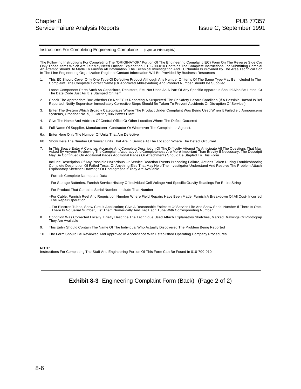#### Instructions For Completing Engineering Complaine (Type Or Print Legibly)

The Following Instructions For Completing The "ORIGINATOR" Portion Of The Engineering Complaint IEC) Form On The Reverse Side Cov<br>Only Those Items Which Are Felt May Need Further Explanation. 010-700-010 Contains The Compl In The Line Engineering Organization Regional Contact Information Will Be Provided By Business Resources

1. This EC Should Cover Only One Type Of Defective Product Although Any Number Of Items Of The Same Type May Be Included In The Complaint. The Complete Correct Name (Or Approved Abbreviation) And Product Number Should Be Supplied.

Loose Component Parts Such As Capacitors, Resistors, Etc, Not Used As A Part Of Any Specific Apparatus Should Also Be Listed. C( The Date Code Just As It Is Stamped On Item

- 2. Check The Appropriate Box Whether Or Not EC Is Reporting A Suspected Fire Or Safety Hazard Condition (If A Possible Hazard Is Bei Reported, Notify Supervisor Immediately Corrective Steps Should Be Taken To Prevent Accidents Or Disruption Of Service )
- 3. Enter The System Which Broadly Categorizes Where The Product Under Complaint Was Being Used When It Failed e g Announceme Systems, Crossbar No. 5, T-Carrier, 806 Power Plant
- 4. Give The Name And Address Of Central Office Or Other Location Where The Defect Occurred
- 5. Full Name Of Supplier, Manufacturer, Contractor Or Whomever The Complaint Is Against.
- 6a. Enter Here Only The Number Of Units That Are Defective
- 6b. Show Here The Number Of Similar Units That Are In Service At The Location Where The Defect Occurred
- 7. In This Space Enter A Concise, Accurate And Complete Description Of The Difficulty Attempt To Anticipate All The Questions That May<br>Asked By Anyone Reviewing The Complaint Accuracy And Completeness Are More Important Th May Be Continued On Additional Pages Additional Pages Or Attachments Should Be Stapled To This Form

Include Description Of Any Possible Hazardous Or Service Reaction Events Preceding Failure, Actions Taken During Troubleshooting, Complete Description Of Failed Tests, Or Anything Else That May Help The Investigator Understand And Resolve The Problem Attach Explanatory Sketches Drawings Or Photographs If They Are Available

–Furnish Complete Nameplate Data

–For Storage Batteries, Furnish Service History Of Individual Cell Voltage And Specific Gravity Readings For Entire String

–For Product That Contains Serial Number, Include That Number

–For Cable, Furnish Reel And Requisition Number Where Field Repairs Have Been Made, Furnish A Breakdown Of All Cost- Incurred<br>The Repair Operation

– For Electron Tubes, Show Circuit Application; Give A Reasonable Estimate Of Service Life And Show Serial Number If There Is One.<br>There Is No Serial Number, List Them Numerically And Tag Each Tube With Corresponding Numbe

- 8. Condition Was Corrected Locally, Briefly Describe The Technique Used Attach Explanatory Sketches, Marked Drawings Or Photograp<br>They Are Available
- 9. This Entry Should Contain The Name Of The Individual Who Actually Discovered The Problem Being Reported
- 10. The Form Should Be Reviewed And Approved In Accordance With Established Operating Company Procedures

#### **NOTE:**

Instructions For Completing The Staff And Engineering Portion Of This Form Can Be Found In 010-700-010

**Exhibit 8-3** Engineering Complaint Form (Back) (Page 2 of 2)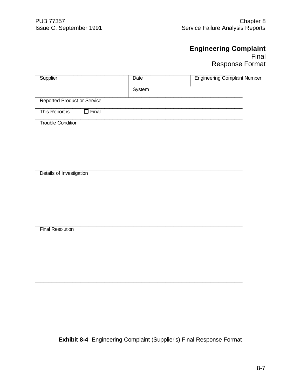# **Engineering Complaint** Final Response Format

| Supplier                          | Date   | <b>Engineering Complaint Number</b> |
|-----------------------------------|--------|-------------------------------------|
|                                   | System |                                     |
| Reported Product or Service       |        |                                     |
| $\square$ Final<br>This Report is |        |                                     |

 $\mathcal{L}_\mathcal{L} = \{ \mathcal{L}_\mathcal{L} = \{ \mathcal{L}_\mathcal{L} = \{ \mathcal{L}_\mathcal{L} = \{ \mathcal{L}_\mathcal{L} = \{ \mathcal{L}_\mathcal{L} = \{ \mathcal{L}_\mathcal{L} = \{ \mathcal{L}_\mathcal{L} = \{ \mathcal{L}_\mathcal{L} = \{ \mathcal{L}_\mathcal{L} = \{ \mathcal{L}_\mathcal{L} = \{ \mathcal{L}_\mathcal{L} = \{ \mathcal{L}_\mathcal{L} = \{ \mathcal{L}_\mathcal{L} = \{ \mathcal{L}_\mathcal{$ 

 $\mathcal{L}_\mathcal{L} = \{ \mathcal{L}_\mathcal{L} = \{ \mathcal{L}_\mathcal{L} = \{ \mathcal{L}_\mathcal{L} = \{ \mathcal{L}_\mathcal{L} = \{ \mathcal{L}_\mathcal{L} = \{ \mathcal{L}_\mathcal{L} = \{ \mathcal{L}_\mathcal{L} = \{ \mathcal{L}_\mathcal{L} = \{ \mathcal{L}_\mathcal{L} = \{ \mathcal{L}_\mathcal{L} = \{ \mathcal{L}_\mathcal{L} = \{ \mathcal{L}_\mathcal{L} = \{ \mathcal{L}_\mathcal{L} = \{ \mathcal{L}_\mathcal{$ 

 $\mathcal{L}_\mathcal{L} = \{ \mathcal{L}_\mathcal{L} = \{ \mathcal{L}_\mathcal{L} = \{ \mathcal{L}_\mathcal{L} = \{ \mathcal{L}_\mathcal{L} = \{ \mathcal{L}_\mathcal{L} = \{ \mathcal{L}_\mathcal{L} = \{ \mathcal{L}_\mathcal{L} = \{ \mathcal{L}_\mathcal{L} = \{ \mathcal{L}_\mathcal{L} = \{ \mathcal{L}_\mathcal{L} = \{ \mathcal{L}_\mathcal{L} = \{ \mathcal{L}_\mathcal{L} = \{ \mathcal{L}_\mathcal{L} = \{ \mathcal{L}_\mathcal{$ 

Trouble Condition

Details of Investigation

Final Resolution

**Exhibit 8-4** Engineering Complaint (Supplier's) Final Response Format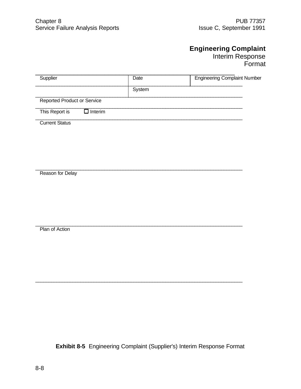# **Engineering Complaint**

Interim Response Format

| Supplier                           |                | Date   | <b>Engineering Complaint Number</b> |
|------------------------------------|----------------|--------|-------------------------------------|
|                                    |                | System |                                     |
| <b>Reported Product or Service</b> |                |        |                                     |
| This Report is                     | $\Box$ Interim |        |                                     |
| <b>Current Status</b>              |                |        |                                     |

 $\mathcal{L}_\mathcal{L} = \{ \mathcal{L}_\mathcal{L} = \{ \mathcal{L}_\mathcal{L} = \{ \mathcal{L}_\mathcal{L} = \{ \mathcal{L}_\mathcal{L} = \{ \mathcal{L}_\mathcal{L} = \{ \mathcal{L}_\mathcal{L} = \{ \mathcal{L}_\mathcal{L} = \{ \mathcal{L}_\mathcal{L} = \{ \mathcal{L}_\mathcal{L} = \{ \mathcal{L}_\mathcal{L} = \{ \mathcal{L}_\mathcal{L} = \{ \mathcal{L}_\mathcal{L} = \{ \mathcal{L}_\mathcal{L} = \{ \mathcal{L}_\mathcal{$ 

 $\mathcal{L}_\mathcal{L} = \{ \mathcal{L}_\mathcal{L} = \{ \mathcal{L}_\mathcal{L} = \{ \mathcal{L}_\mathcal{L} = \{ \mathcal{L}_\mathcal{L} = \{ \mathcal{L}_\mathcal{L} = \{ \mathcal{L}_\mathcal{L} = \{ \mathcal{L}_\mathcal{L} = \{ \mathcal{L}_\mathcal{L} = \{ \mathcal{L}_\mathcal{L} = \{ \mathcal{L}_\mathcal{L} = \{ \mathcal{L}_\mathcal{L} = \{ \mathcal{L}_\mathcal{L} = \{ \mathcal{L}_\mathcal{L} = \{ \mathcal{L}_\mathcal{$ 

 $\mathcal{L}_\mathcal{L} = \{ \mathcal{L}_\mathcal{L} = \{ \mathcal{L}_\mathcal{L} = \{ \mathcal{L}_\mathcal{L} = \{ \mathcal{L}_\mathcal{L} = \{ \mathcal{L}_\mathcal{L} = \{ \mathcal{L}_\mathcal{L} = \{ \mathcal{L}_\mathcal{L} = \{ \mathcal{L}_\mathcal{L} = \{ \mathcal{L}_\mathcal{L} = \{ \mathcal{L}_\mathcal{L} = \{ \mathcal{L}_\mathcal{L} = \{ \mathcal{L}_\mathcal{L} = \{ \mathcal{L}_\mathcal{L} = \{ \mathcal{L}_\mathcal{$ Reason for Delay

Plan of Action

**Exhibit 8-5** Engineering Complaint (Supplier's) Interim Response Format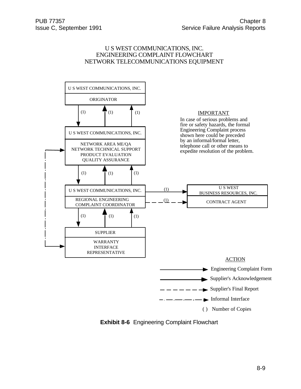#### U S WEST COMMUNICATIONS, INC. ENGINEERING COMPLAINT FLOWCHART NETWORK TELECOMMUNICATIONS EQUIPMENT



**Exhibit 8-6** Engineering Complaint Flowchart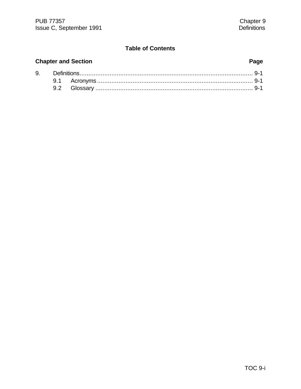# **Chapter and Section Page**

| 9. |  |  |
|----|--|--|
|    |  |  |
|    |  |  |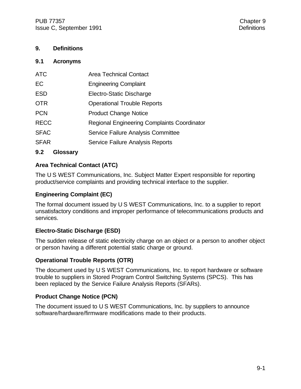#### **9. Definitions**

#### **9.1 Acronyms**

| <b>ATC</b>  | <b>Area Technical Contact</b>               |
|-------------|---------------------------------------------|
| EC          | <b>Engineering Complaint</b>                |
| <b>ESD</b>  | Electro-Static Discharge                    |
| <b>OTR</b>  | <b>Operational Trouble Reports</b>          |
| <b>PCN</b>  | <b>Product Change Notice</b>                |
| <b>RECC</b> | Regional Engineering Complaints Coordinator |
| <b>SFAC</b> | Service Failure Analysis Committee          |
| <b>SFAR</b> | Service Failure Analysis Reports            |
|             |                                             |

**9.2 Glossary**

### **Area Technical Contact (ATC)**

The U S WEST Communications, Inc. Subject Matter Expert responsible for reporting product/service complaints and providing technical interface to the supplier.

#### **Engineering Complaint (EC)**

The formal document issued by U S WEST Communications, Inc. to a supplier to report unsatisfactory conditions and improper performance of telecommunications products and services.

### **Electro-Static Discharge (ESD)**

The sudden release of static electricity charge on an object or a person to another object or person having a different potential static charge or ground.

#### **Operational Trouble Reports (OTR)**

The document used by U S WEST Communications, Inc. to report hardware or software trouble to suppliers in Stored Program Control Switching Systems (SPCS). This has been replaced by the Service Failure Analysis Reports (SFARs).

#### **Product Change Notice (PCN)**

The document issued to U S WEST Communications, Inc. by suppliers to announce software/hardware/firmware modifications made to their products.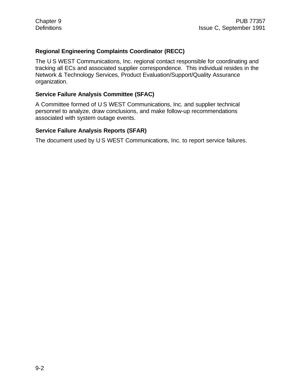#### **Regional Engineering Complaints Coordinator (RECC)**

The U S WEST Communications, Inc. regional contact responsible for coordinating and tracking all ECs and associated supplier correspondence. This individual resides in the Network & Technology Services, Product Evaluation/Support/Quality Assurance organization.

#### **Service Failure Analysis Committee (SFAC)**

A Committee formed of U S WEST Communications, Inc. and supplier technical personnel to analyze, draw conclusions, and make follow-up recommendations associated with system outage events.

#### **Service Failure Analysis Reports (SFAR)**

The document used by U S WEST Communications, Inc. to report service failures.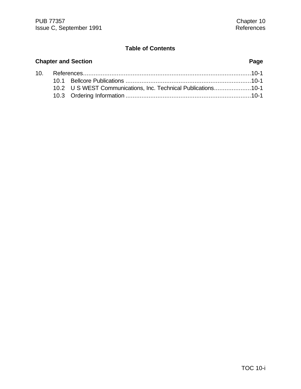# **Chapter and Section Page** 10. References...............................................................................................10-1 10.1 Bellcore Publications .......................................................................10-1

| 10.2 U S WEST Communications, Inc. Technical Publications10-1 |  |
|---------------------------------------------------------------|--|
|                                                               |  |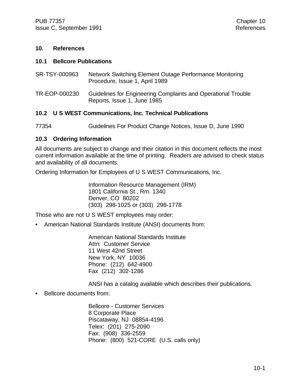#### **10. References**

#### **10.1 Bellcore Publications**

| SR-TSY-000963 | Network Switching Element Outage Performance Monitoring<br>Procedure, Issue 1, April 1989    |
|---------------|----------------------------------------------------------------------------------------------|
| TR-EOP-000230 | Guidelines for Engineering Complaints and Operational Trouble<br>Reports, Issue 1, June 1985 |

#### **10.2 U S WEST Communications, Inc. Technical Publications**

77354 Guidelines For Product Change Notices, Issue D, June 1990

#### **10.3 Ordering Information**

All documents are subject to change and their citation in this document reflects the most current information available at the time of printing. Readers are advised to check status and availability of all documents.

Ordering Information for Employees of U S WEST Communications, Inc.

Information Resource Management (IRM) 1801 California St., Rm. 1340 Denver, CO 80202 (303) 298-1025 or (303) 298-1778

Those who are not U S WEST employees may order:

• American National Standards Institute (ANSI) documents from:

American National Standards Institute Attn: Customer Service 11 West 42nd Street New York, NY 10036 Phone: (212) 642-4900 Fax (212) 302-1286

ANSI has a catalog available which describes their publications.

• Bellcore documents from:

Bellcore - Customer Services 8 Corporate Place Piscataway, NJ 08854-4196 Telex: (201) 275-2090 Fax: (908) 336-2559 Phone: (800) 521-CORE (U.S. calls only)